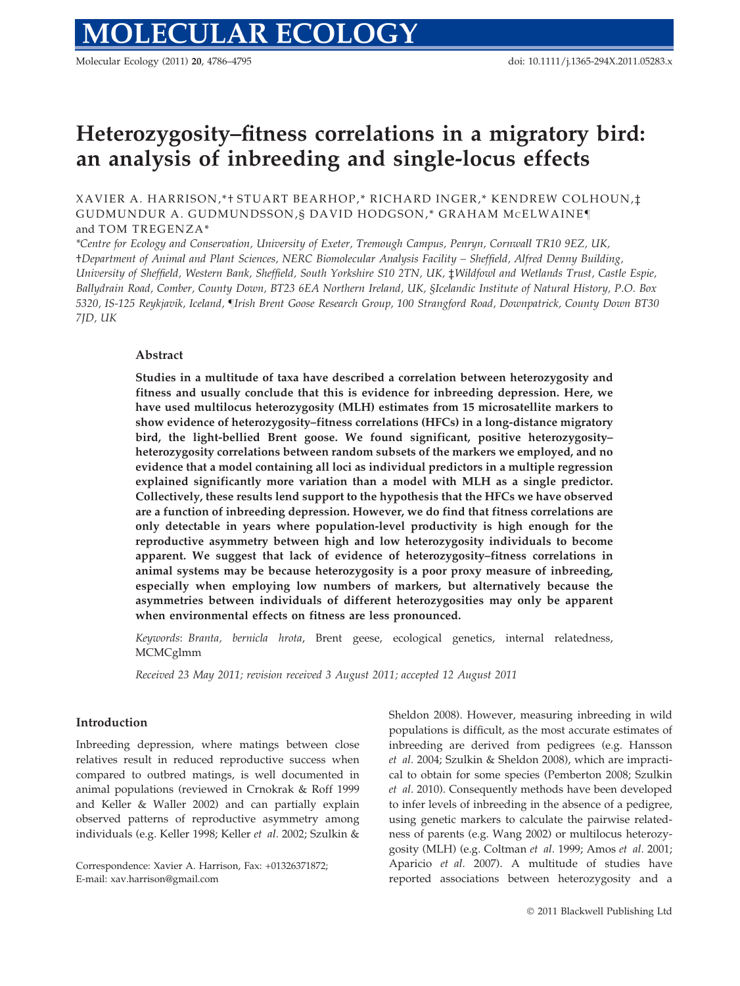Molecular Ecology (2011) 20, 4786–4795 doi: 10.1111/j.1365-294X.2011.05283.x

# Heterozygosity–fitness correlations in a migratory bird: an analysis of inbreeding and single-locus effects

XAVIER A. HARRISON,\*† STUART BEARHOP,\* RICHARD INGER,\* KENDREW COLHOUN,‡ GUDMUNDUR A. GUDMUNDSSON, § DAVID HODGSON,\* GRAHAM MCELWAINE¶ and TOM TREGENZA\*

\*Centre for Ecology and Conservation, University of Exeter, Tremough Campus, Penryn, Cornwall TR10 9EZ, UK, †Department of Animal and Plant Sciences, NERC Biomolecular Analysis Facility – Sheffield, Alfred Denny Building, University of Sheffield, Western Bank, Sheffield, South Yorkshire S10 2TN, UK, ‡Wildfowl and Wetlands Trust, Castle Espie, Ballydrain Road, Comber, County Down, BT23 6EA Northern Ireland, UK, §Icelandic Institute of Natural History, P.O. Box 5320, IS-125 Reykjavik, Iceland, ¶Irish Brent Goose Research Group, 100 Strangford Road, Downpatrick, County Down BT30 7JD, UK

# Abstract

Studies in a multitude of taxa have described a correlation between heterozygosity and fitness and usually conclude that this is evidence for inbreeding depression. Here, we have used multilocus heterozygosity (MLH) estimates from 15 microsatellite markers to show evidence of heterozygosity–fitness correlations (HFCs) in a long-distance migratory bird, the light-bellied Brent goose. We found significant, positive heterozygosity– heterozygosity correlations between random subsets of the markers we employed, and no evidence that a model containing all loci as individual predictors in a multiple regression explained significantly more variation than a model with MLH as a single predictor. Collectively, these results lend support to the hypothesis that the HFCs we have observed are a function of inbreeding depression. However, we do find that fitness correlations are only detectable in years where population-level productivity is high enough for the reproductive asymmetry between high and low heterozygosity individuals to become apparent. We suggest that lack of evidence of heterozygosity–fitness correlations in animal systems may be because heterozygosity is a poor proxy measure of inbreeding, especially when employing low numbers of markers, but alternatively because the asymmetries between individuals of different heterozygosities may only be apparent when environmental effects on fitness are less pronounced.

Keywords: Branta, bernicla hrota, Brent geese, ecological genetics, internal relatedness, MCMCglmm

Received 23 May 2011; revision received 3 August 2011; accepted 12 August 2011

## Introduction

Inbreeding depression, where matings between close relatives result in reduced reproductive success when compared to outbred matings, is well documented in animal populations (reviewed in Crnokrak & Roff 1999 and Keller & Waller 2002) and can partially explain observed patterns of reproductive asymmetry among individuals (e.g. Keller 1998; Keller et al. 2002; Szulkin &

Correspondence: Xavier A. Harrison, Fax: +01326371872; E-mail: xav.harrison@gmail.com

Sheldon 2008). However, measuring inbreeding in wild populations is difficult, as the most accurate estimates of inbreeding are derived from pedigrees (e.g. Hansson et al. 2004; Szulkin & Sheldon 2008), which are impractical to obtain for some species (Pemberton 2008; Szulkin et al. 2010). Consequently methods have been developed to infer levels of inbreeding in the absence of a pedigree, using genetic markers to calculate the pairwise relatedness of parents (e.g. Wang 2002) or multilocus heterozygosity (MLH) (e.g. Coltman et al. 1999; Amos et al. 2001; Aparicio et al. 2007). A multitude of studies have reported associations between heterozygosity and a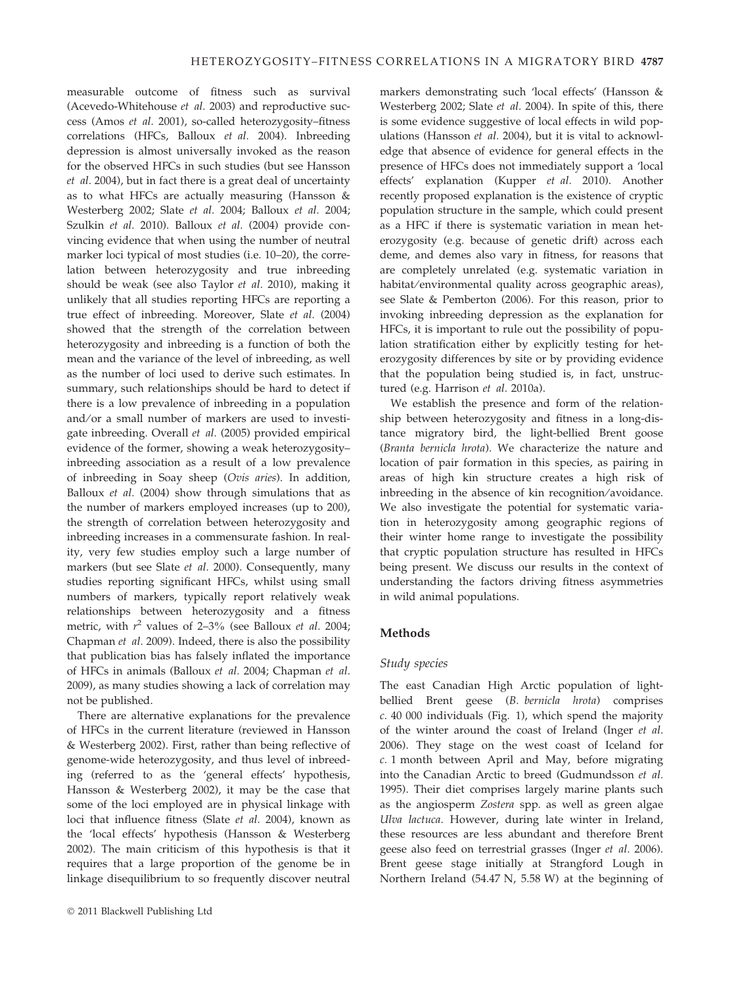measurable outcome of fitness such as survival (Acevedo-Whitehouse et al. 2003) and reproductive success (Amos et al. 2001), so-called heterozygosity–fitness correlations (HFCs, Balloux et al. 2004). Inbreeding depression is almost universally invoked as the reason for the observed HFCs in such studies (but see Hansson et al. 2004), but in fact there is a great deal of uncertainty as to what HFCs are actually measuring (Hansson & Westerberg 2002; Slate et al. 2004; Balloux et al. 2004; Szulkin et al. 2010). Balloux et al. (2004) provide convincing evidence that when using the number of neutral marker loci typical of most studies (i.e. 10–20), the correlation between heterozygosity and true inbreeding should be weak (see also Taylor et al. 2010), making it unlikely that all studies reporting HFCs are reporting a true effect of inbreeding. Moreover, Slate et al. (2004) showed that the strength of the correlation between heterozygosity and inbreeding is a function of both the mean and the variance of the level of inbreeding, as well as the number of loci used to derive such estimates. In summary, such relationships should be hard to detect if there is a low prevalence of inbreeding in a population and/or a small number of markers are used to investigate inbreeding. Overall et al. (2005) provided empirical evidence of the former, showing a weak heterozygosity– inbreeding association as a result of a low prevalence of inbreeding in Soay sheep (Ovis aries). In addition, Balloux et al. (2004) show through simulations that as the number of markers employed increases (up to 200), the strength of correlation between heterozygosity and inbreeding increases in a commensurate fashion. In reality, very few studies employ such a large number of markers (but see Slate et al. 2000). Consequently, many studies reporting significant HFCs, whilst using small numbers of markers, typically report relatively weak relationships between heterozygosity and a fitness metric, with  $r^2$  values of 2–3% (see Balloux *et al.* 2004; Chapman et al. 2009). Indeed, there is also the possibility that publication bias has falsely inflated the importance of HFCs in animals (Balloux et al. 2004; Chapman et al. 2009), as many studies showing a lack of correlation may not be published.

There are alternative explanations for the prevalence of HFCs in the current literature (reviewed in Hansson & Westerberg 2002). First, rather than being reflective of genome-wide heterozygosity, and thus level of inbreeding (referred to as the 'general effects' hypothesis, Hansson & Westerberg 2002), it may be the case that some of the loci employed are in physical linkage with loci that influence fitness (Slate et al. 2004), known as the 'local effects' hypothesis (Hansson & Westerberg 2002). The main criticism of this hypothesis is that it requires that a large proportion of the genome be in linkage disequilibrium to so frequently discover neutral markers demonstrating such 'local effects' (Hansson & Westerberg 2002; Slate et al. 2004). In spite of this, there is some evidence suggestive of local effects in wild populations (Hansson et al. 2004), but it is vital to acknowledge that absence of evidence for general effects in the presence of HFCs does not immediately support a 'local effects' explanation (Kupper et al. 2010). Another recently proposed explanation is the existence of cryptic population structure in the sample, which could present as a HFC if there is systematic variation in mean heterozygosity (e.g. because of genetic drift) across each deme, and demes also vary in fitness, for reasons that are completely unrelated (e.g. systematic variation in habitat/environmental quality across geographic areas), see Slate & Pemberton (2006). For this reason, prior to invoking inbreeding depression as the explanation for HFCs, it is important to rule out the possibility of population stratification either by explicitly testing for heterozygosity differences by site or by providing evidence that the population being studied is, in fact, unstructured (e.g. Harrison et al. 2010a).

We establish the presence and form of the relationship between heterozygosity and fitness in a long-distance migratory bird, the light-bellied Brent goose (Branta bernicla hrota). We characterize the nature and location of pair formation in this species, as pairing in areas of high kin structure creates a high risk of inbreeding in the absence of kin recognition/avoidance. We also investigate the potential for systematic variation in heterozygosity among geographic regions of their winter home range to investigate the possibility that cryptic population structure has resulted in HFCs being present. We discuss our results in the context of understanding the factors driving fitness asymmetries in wild animal populations.

#### Methods

#### Study species

The east Canadian High Arctic population of lightbellied Brent geese (B. bernicla hrota) comprises c. 40 000 individuals (Fig. 1), which spend the majority of the winter around the coast of Ireland (Inger et al. 2006). They stage on the west coast of Iceland for c. 1 month between April and May, before migrating into the Canadian Arctic to breed (Gudmundsson et al. 1995). Their diet comprises largely marine plants such as the angiosperm Zostera spp. as well as green algae Ulva lactuca. However, during late winter in Ireland, these resources are less abundant and therefore Brent geese also feed on terrestrial grasses (Inger et al. 2006). Brent geese stage initially at Strangford Lough in Northern Ireland (54.47 N, 5.58 W) at the beginning of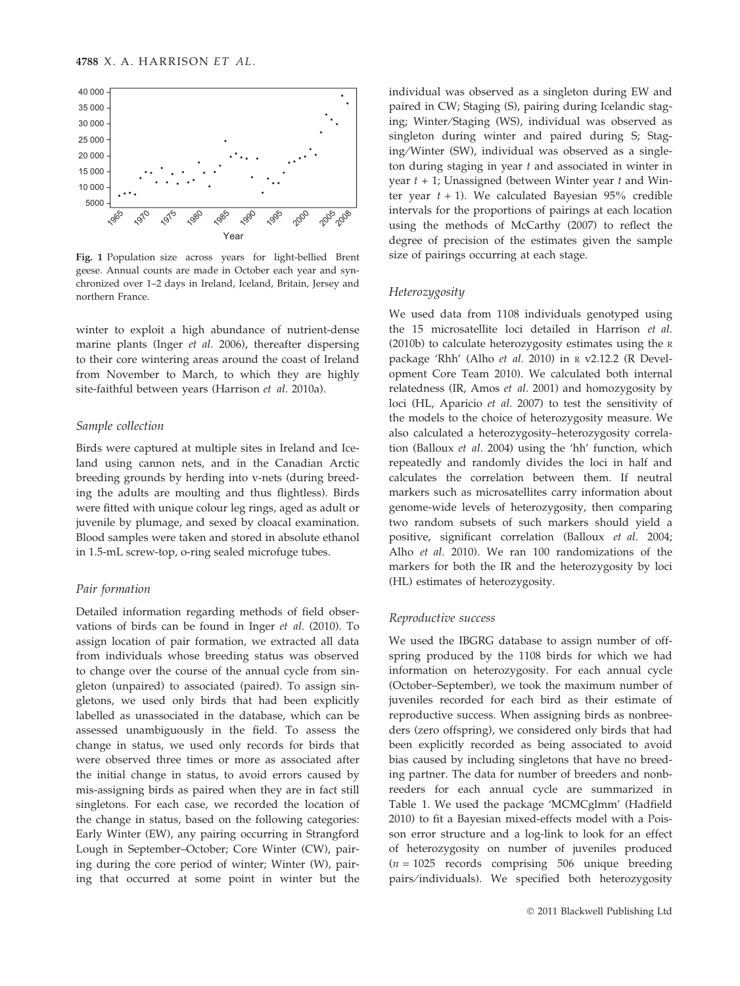

Fig. 1 Population size across years for light-bellied Brent geese. Annual counts are made in October each year and synchronized over 1–2 days in Ireland, Iceland, Britain, Jersey and northern France.

winter to exploit a high abundance of nutrient-dense marine plants (Inger et al. 2006), thereafter dispersing to their core wintering areas around the coast of Ireland from November to March, to which they are highly site-faithful between years (Harrison et al. 2010a).

#### Sample collection

Birds were captured at multiple sites in Ireland and Iceland using cannon nets, and in the Canadian Arctic breeding grounds by herding into v-nets (during breeding the adults are moulting and thus flightless). Birds were fitted with unique colour leg rings, aged as adult or juvenile by plumage, and sexed by cloacal examination. Blood samples were taken and stored in absolute ethanol in 1.5-mL screw-top, o-ring sealed microfuge tubes.

#### Pair formation

Detailed information regarding methods of field observations of birds can be found in Inger et al. (2010). To assign location of pair formation, we extracted all data from individuals whose breeding status was observed to change over the course of the annual cycle from singleton (unpaired) to associated (paired). To assign singletons, we used only birds that had been explicitly labelled as unassociated in the database, which can be assessed unambiguously in the field. To assess the change in status, we used only records for birds that were observed three times or more as associated after the initial change in status, to avoid errors caused by mis-assigning birds as paired when they are in fact still singletons. For each case, we recorded the location of the change in status, based on the following categories: Early Winter (EW), any pairing occurring in Strangford Lough in September–October; Core Winter (CW), pairing during the core period of winter; Winter (W), pairing that occurred at some point in winter but the

individual was observed as a singleton during EW and paired in CW; Staging (S), pairing during Icelandic staging; Winter⁄ Staging (WS), individual was observed as singleton during winter and paired during S; Staging ⁄Winter (SW), individual was observed as a singleton during staging in year  $t$  and associated in winter in year  $t + 1$ ; Unassigned (between Winter year  $t$  and Winter year  $t + 1$ ). We calculated Bayesian 95% credible intervals for the proportions of pairings at each location using the methods of McCarthy (2007) to reflect the degree of precision of the estimates given the sample size of pairings occurring at each stage.

#### Heterozygosity

We used data from 1108 individuals genotyped using the 15 microsatellite loci detailed in Harrison et al. (2010b) to calculate heterozygosity estimates using the <sup>R</sup> package 'Rhh' (Alho et al. 2010) in <sup>R</sup> v2.12.2 (R Development Core Team 2010). We calculated both internal relatedness (IR, Amos et al. 2001) and homozygosity by loci (HL, Aparicio et al. 2007) to test the sensitivity of the models to the choice of heterozygosity measure. We also calculated a heterozygosity–heterozygosity correlation (Balloux et al. 2004) using the 'hh' function, which repeatedly and randomly divides the loci in half and calculates the correlation between them. If neutral markers such as microsatellites carry information about genome-wide levels of heterozygosity, then comparing two random subsets of such markers should yield a positive, significant correlation (Balloux et al. 2004; Alho et al. 2010). We ran 100 randomizations of the markers for both the IR and the heterozygosity by loci (HL) estimates of heterozygosity.

#### Reproductive success

We used the IBGRG database to assign number of offspring produced by the 1108 birds for which we had information on heterozygosity. For each annual cycle (October–September), we took the maximum number of juveniles recorded for each bird as their estimate of reproductive success. When assigning birds as nonbreeders (zero offspring), we considered only birds that had been explicitly recorded as being associated to avoid bias caused by including singletons that have no breeding partner. The data for number of breeders and nonbreeders for each annual cycle are summarized in Table 1. We used the package 'MCMCglmm' (Hadfield 2010) to fit a Bayesian mixed-effects model with a Poisson error structure and a log-link to look for an effect of heterozygosity on number of juveniles produced  $(n = 1025$  records comprising 506 unique breeding pairs/individuals). We specified both heterozygosity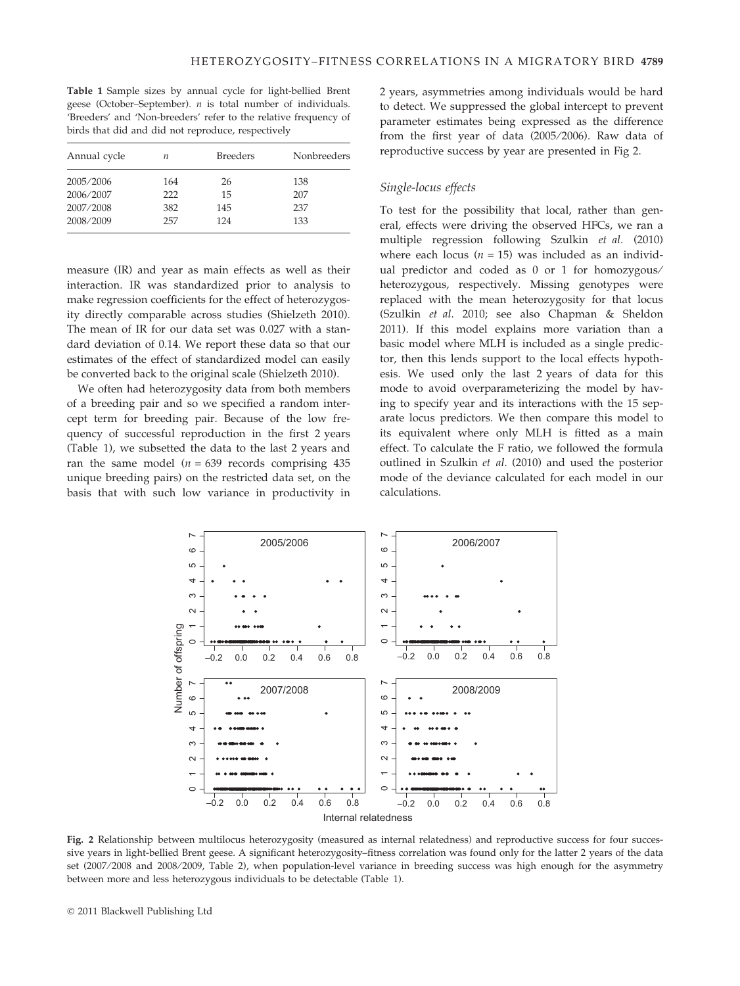Table 1 Sample sizes by annual cycle for light-bellied Brent geese (October–September).  $n$  is total number of individuals. 'Breeders' and 'Non-breeders' refer to the relative frequency of birds that did and did not reproduce, respectively

| Annual cycle           | п          | <b>Breeders</b> | Nonbreeders |
|------------------------|------------|-----------------|-------------|
| 2005/2006<br>2006/2007 | 164<br>222 | 26<br>15        | 138<br>207  |
| 2007/2008              | 382        | 145             | 237         |
| 2008/2009              | 257        | 124             | 133         |

measure (IR) and year as main effects as well as their interaction. IR was standardized prior to analysis to make regression coefficients for the effect of heterozygosity directly comparable across studies (Shielzeth 2010). The mean of IR for our data set was 0.027 with a standard deviation of 0.14. We report these data so that our estimates of the effect of standardized model can easily be converted back to the original scale (Shielzeth 2010).

We often had heterozygosity data from both members of a breeding pair and so we specified a random intercept term for breeding pair. Because of the low frequency of successful reproduction in the first 2 years (Table 1), we subsetted the data to the last 2 years and ran the same model ( $n = 639$  records comprising 435 unique breeding pairs) on the restricted data set, on the basis that with such low variance in productivity in 2 years, asymmetries among individuals would be hard to detect. We suppressed the global intercept to prevent parameter estimates being expressed as the difference from the first year of data (2005/2006). Raw data of reproductive success by year are presented in Fig 2.

### Single-locus effects

To test for the possibility that local, rather than general, effects were driving the observed HFCs, we ran a multiple regression following Szulkin et al. (2010) where each locus ( $n = 15$ ) was included as an individual predictor and coded as 0 or 1 for homozygous/ heterozygous, respectively. Missing genotypes were replaced with the mean heterozygosity for that locus (Szulkin et al. 2010; see also Chapman & Sheldon 2011). If this model explains more variation than a basic model where MLH is included as a single predictor, then this lends support to the local effects hypothesis. We used only the last 2 years of data for this mode to avoid overparameterizing the model by having to specify year and its interactions with the 15 separate locus predictors. We then compare this model to its equivalent where only MLH is fitted as a main effect. To calculate the F ratio, we followed the formula outlined in Szulkin et al. (2010) and used the posterior mode of the deviance calculated for each model in our calculations.



Fig. 2 Relationship between multilocus heterozygosity (measured as internal relatedness) and reproductive success for four successive years in light-bellied Brent geese. A significant heterozygosity–fitness correlation was found only for the latter 2 years of the data set (2007/2008 and 2008/2009, Table 2), when population-level variance in breeding success was high enough for the asymmetry between more and less heterozygous individuals to be detectable (Table 1).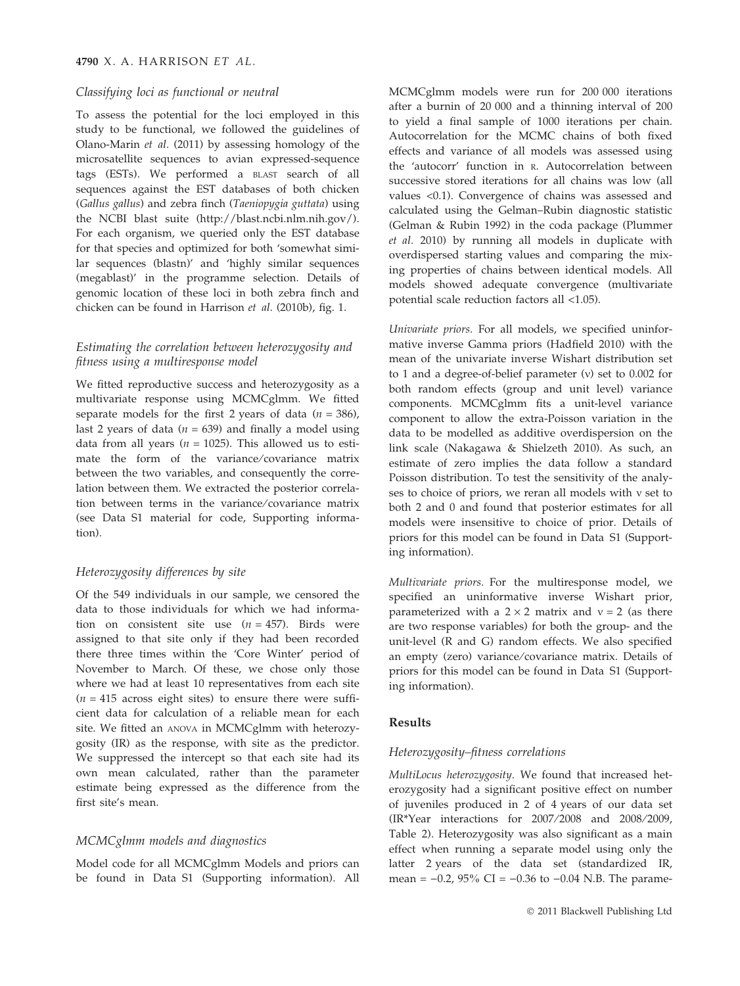#### Classifying loci as functional or neutral

To assess the potential for the loci employed in this study to be functional, we followed the guidelines of Olano-Marin et al. (2011) by assessing homology of the microsatellite sequences to avian expressed-sequence tags (ESTs). We performed a BLAST search of all sequences against the EST databases of both chicken (Gallus gallus) and zebra finch (Taeniopygia guttata) using the NCBI blast suite (http://blast.ncbi.nlm.nih.gov/). For each organism, we queried only the EST database for that species and optimized for both 'somewhat similar sequences (blastn)' and 'highly similar sequences (megablast)' in the programme selection. Details of genomic location of these loci in both zebra finch and chicken can be found in Harrison et al. (2010b), fig. 1.

## Estimating the correlation between heterozygosity and fitness using a multiresponse model

We fitted reproductive success and heterozygosity as a multivariate response using MCMCglmm. We fitted separate models for the first 2 years of data  $(n = 386)$ , last 2 years of data ( $n = 639$ ) and finally a model using data from all years ( $n = 1025$ ). This allowed us to estimate the form of the variance/covariance matrix between the two variables, and consequently the correlation between them. We extracted the posterior correlation between terms in the variance/covariance matrix (see Data S1 material for code, Supporting information).

# Heterozygosity differences by site

Of the 549 individuals in our sample, we censored the data to those individuals for which we had information on consistent site use  $(n = 457)$ . Birds were assigned to that site only if they had been recorded there three times within the 'Core Winter' period of November to March. Of these, we chose only those where we had at least 10 representatives from each site  $(n = 415$  across eight sites) to ensure there were sufficient data for calculation of a reliable mean for each site. We fitted an ANOVA in MCMCglmm with heterozygosity (IR) as the response, with site as the predictor. We suppressed the intercept so that each site had its own mean calculated, rather than the parameter estimate being expressed as the difference from the first site's mean.

#### MCMCglmm models and diagnostics

Model code for all MCMCglmm Models and priors can be found in Data S1 (Supporting information). All

MCMCglmm models were run for 200 000 iterations after a burnin of 20 000 and a thinning interval of 200 to yield a final sample of 1000 iterations per chain. Autocorrelation for the MCMC chains of both fixed effects and variance of all models was assessed using the 'autocorr' function in R. Autocorrelation between successive stored iterations for all chains was low (all values <0.1). Convergence of chains was assessed and calculated using the Gelman–Rubin diagnostic statistic (Gelman & Rubin 1992) in the coda package (Plummer et al. 2010) by running all models in duplicate with overdispersed starting values and comparing the mixing properties of chains between identical models. All models showed adequate convergence (multivariate potential scale reduction factors all <1.05).

Univariate priors. For all models, we specified uninformative inverse Gamma priors (Hadfield 2010) with the mean of the univariate inverse Wishart distribution set to 1 and a degree-of-belief parameter  $(v)$  set to 0.002 for both random effects (group and unit level) variance components. MCMCglmm fits a unit-level variance component to allow the extra-Poisson variation in the data to be modelled as additive overdispersion on the link scale (Nakagawa & Shielzeth 2010). As such, an estimate of zero implies the data follow a standard Poisson distribution. To test the sensitivity of the analyses to choice of priors, we reran all models with  $v$  set to both 2 and 0 and found that posterior estimates for all models were insensitive to choice of prior. Details of priors for this model can be found in Data S1 (Supporting information).

Multivariate priors. For the multiresponse model, we specified an uninformative inverse Wishart prior, parameterized with a  $2 \times 2$  matrix and  $v = 2$  (as there are two response variables) for both the group- and the unit-level (R and G) random effects. We also specified an empty (zero) variance/covariance matrix. Details of priors for this model can be found in Data S1 (Supporting information).

#### Results

#### Heterozygosity–fitness correlations

MultiLocus heterozygosity. We found that increased heterozygosity had a significant positive effect on number of juveniles produced in 2 of 4 years of our data set (IR\*Year interactions for 2007/2008 and 2008/2009, Table 2). Heterozygosity was also significant as a main effect when running a separate model using only the latter 2 years of the data set (standardized IR, mean =  $-0.2$ ,  $95\%$  CI =  $-0.36$  to  $-0.04$  N.B. The parame-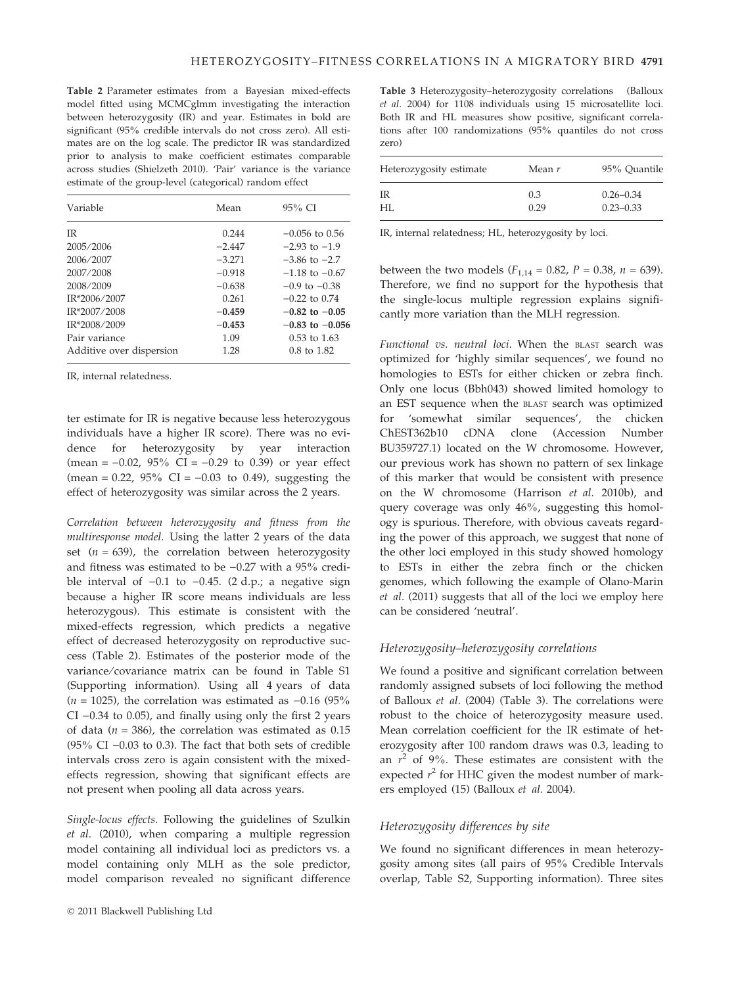Table 2 Parameter estimates from a Bayesian mixed-effects model fitted using MCMCglmm investigating the interaction between heterozygosity (IR) and year. Estimates in bold are significant (95% credible intervals do not cross zero). All estimates are on the log scale. The predictor IR was standardized prior to analysis to make coefficient estimates comparable across studies (Shielzeth 2010). 'Pair' variance is the variance estimate of the group-level (categorical) random effect

| Variable                 | Mean     | $95\%$ CI              |
|--------------------------|----------|------------------------|
| <b>IR</b>                | 0.244    | $-0.056$ to 0.56       |
| 2005/2006                | $-2.447$ | $-2.93$ to $-1.9$      |
| 2006/2007                | $-3.271$ | $-3.86$ to $-2.7$      |
| 2007/2008                | $-0.918$ | $-1.18$ to $-0.67$     |
| 2008/2009                | $-0.638$ | $-0.9$ to $-0.38$      |
| IR*2006/2007             | 0.261    | $-0.22$ to $0.74$      |
| IR*2007/2008             | $-0.459$ | $-0.82$ to $-0.05$     |
| IR*2008/2009             | $-0.453$ | $-0.83$ to $-0.056$    |
| Pair variance            | 1.09     | $0.53$ to $1.63$       |
| Additive over dispersion | 1.28     | $0.8 \text{ to } 1.82$ |
|                          |          |                        |

IR, internal relatedness.

ter estimate for IR is negative because less heterozygous individuals have a higher IR score). There was no evidence for heterozygosity by year interaction (mean =  $-0.02$ ,  $95\%$  CI =  $-0.29$  to 0.39) or year effect (mean = 0.22, 95% CI =  $-0.03$  to 0.49), suggesting the effect of heterozygosity was similar across the 2 years.

Correlation between heterozygosity and fitness from the multiresponse model. Using the latter 2 years of the data set ( $n = 639$ ), the correlation between heterozygosity and fitness was estimated to be  $-0.27$  with a 95% credible interval of  $-0.1$  to  $-0.45$ . (2 d.p.; a negative sign because a higher IR score means individuals are less heterozygous). This estimate is consistent with the mixed-effects regression, which predicts a negative effect of decreased heterozygosity on reproductive success (Table 2). Estimates of the posterior mode of the variance/covariance matrix can be found in Table S1 (Supporting information). Using all 4 years of data ( $n = 1025$ ), the correlation was estimated as  $-0.16$  (95%)  $CI -0.34$  to 0.05), and finally using only the first 2 years of data ( $n = 386$ ), the correlation was estimated as 0.15 (95% CI  $-0.03$  to 0.3). The fact that both sets of credible intervals cross zero is again consistent with the mixedeffects regression, showing that significant effects are not present when pooling all data across years.

Single-locus effects. Following the guidelines of Szulkin et al. (2010), when comparing a multiple regression model containing all individual loci as predictors vs. a model containing only MLH as the sole predictor, model comparison revealed no significant difference

Table 3 Heterozygosity–heterozygosity correlations (Balloux et al. 2004) for 1108 individuals using 15 microsatellite loci. Both IR and HL measures show positive, significant correlations after 100 randomizations (95% quantiles do not cross zero)

| Heterozygosity estimate | Mean $r$ | 95% Ouantile  |
|-------------------------|----------|---------------|
| IR                      | 0.3      | $0.26 - 0.34$ |
| HI.                     | 0.29     | $0.23 - 0.33$ |

IR, internal relatedness; HL, heterozygosity by loci.

between the two models ( $F_{1,14} = 0.82$ ,  $P = 0.38$ ,  $n = 639$ ). Therefore, we find no support for the hypothesis that the single-locus multiple regression explains significantly more variation than the MLH regression.

Functional vs. neutral loci. When the BLAST search was optimized for 'highly similar sequences', we found no homologies to ESTs for either chicken or zebra finch. Only one locus (Bbh043) showed limited homology to an EST sequence when the BLAST search was optimized for 'somewhat similar sequences', the chicken ChEST362b10 cDNA clone (Accession Number BU359727.1) located on the W chromosome. However, our previous work has shown no pattern of sex linkage of this marker that would be consistent with presence on the W chromosome (Harrison et al. 2010b), and query coverage was only 46%, suggesting this homology is spurious. Therefore, with obvious caveats regarding the power of this approach, we suggest that none of the other loci employed in this study showed homology to ESTs in either the zebra finch or the chicken genomes, which following the example of Olano-Marin et al. (2011) suggests that all of the loci we employ here can be considered 'neutral'.

#### Heterozygosity–heterozygosity correlations

We found a positive and significant correlation between randomly assigned subsets of loci following the method of Balloux et al. (2004) (Table 3). The correlations were robust to the choice of heterozygosity measure used. Mean correlation coefficient for the IR estimate of heterozygosity after 100 random draws was 0.3, leading to an  $r^2$  of 9%. These estimates are consistent with the expected  $r^2$  for HHC given the modest number of markers employed (15) (Balloux et al. 2004).

## Heterozygosity differences by site

We found no significant differences in mean heterozygosity among sites (all pairs of 95% Credible Intervals overlap, Table S2, Supporting information). Three sites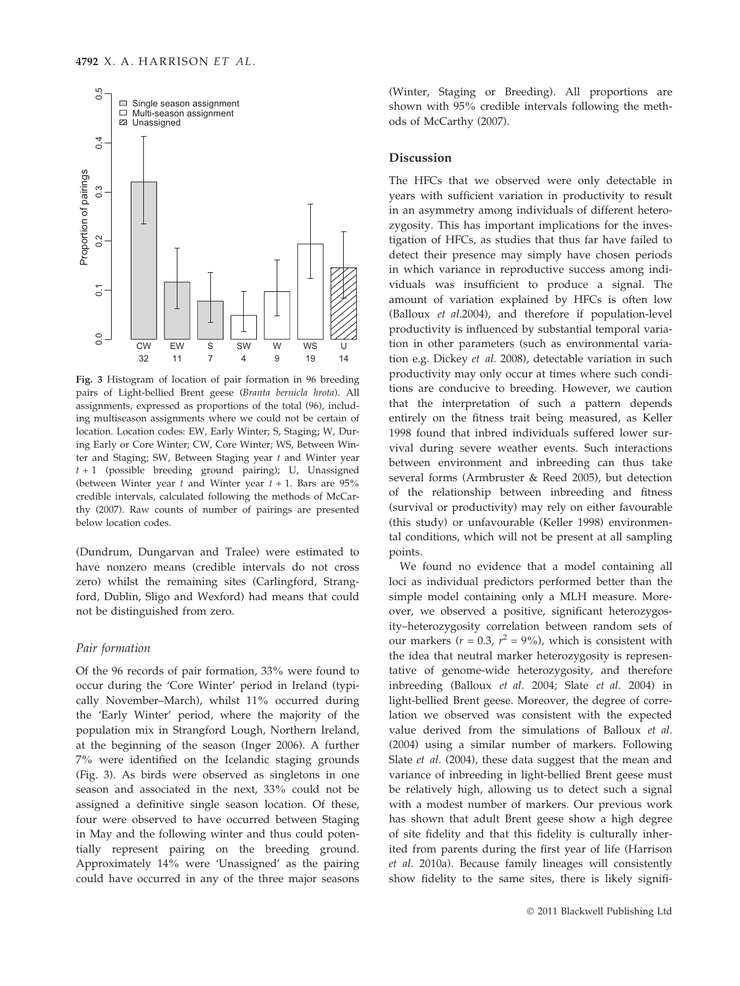

Fig. 3 Histogram of location of pair formation in 96 breeding pairs of Light-bellied Brent geese (Branta bernicla hrota). All assignments, expressed as proportions of the total (96), including multiseason assignments where we could not be certain of location. Location codes: EW, Early Winter; S, Staging; W, During Early or Core Winter; CW, Core Winter; WS, Between Winter and Staging; SW, Between Staging year  $t$  and Winter year  $t + 1$  (possible breeding ground pairing); U, Unassigned (between Winter year  $t$  and Winter year  $t + 1$ . Bars are 95% credible intervals, calculated following the methods of McCarthy (2007). Raw counts of number of pairings are presented below location codes.

(Dundrum, Dungarvan and Tralee) were estimated to have nonzero means (credible intervals do not cross zero) whilst the remaining sites (Carlingford, Strangford, Dublin, Sligo and Wexford) had means that could not be distinguished from zero.

#### Pair formation

Of the 96 records of pair formation, 33% were found to occur during the 'Core Winter' period in Ireland (typically November–March), whilst 11% occurred during the 'Early Winter' period, where the majority of the population mix in Strangford Lough, Northern Ireland, at the beginning of the season (Inger 2006). A further 7% were identified on the Icelandic staging grounds (Fig. 3). As birds were observed as singletons in one season and associated in the next, 33% could not be assigned a definitive single season location. Of these, four were observed to have occurred between Staging in May and the following winter and thus could potentially represent pairing on the breeding ground. Approximately 14% were 'Unassigned' as the pairing could have occurred in any of the three major seasons

(Winter, Staging or Breeding). All proportions are shown with 95% credible intervals following the methods of McCarthy (2007).

#### Discussion

The HFCs that we observed were only detectable in years with sufficient variation in productivity to result in an asymmetry among individuals of different heterozygosity. This has important implications for the investigation of HFCs, as studies that thus far have failed to detect their presence may simply have chosen periods in which variance in reproductive success among individuals was insufficient to produce a signal. The amount of variation explained by HFCs is often low (Balloux et al.2004), and therefore if population-level productivity is influenced by substantial temporal variation in other parameters (such as environmental variation e.g. Dickey et al. 2008), detectable variation in such productivity may only occur at times where such conditions are conducive to breeding. However, we caution that the interpretation of such a pattern depends entirely on the fitness trait being measured, as Keller 1998 found that inbred individuals suffered lower survival during severe weather events. Such interactions between environment and inbreeding can thus take several forms (Armbruster & Reed 2005), but detection of the relationship between inbreeding and fitness (survival or productivity) may rely on either favourable (this study) or unfavourable (Keller 1998) environmental conditions, which will not be present at all sampling points.

We found no evidence that a model containing all loci as individual predictors performed better than the simple model containing only a MLH measure. Moreover, we observed a positive, significant heterozygosity–heterozygosity correlation between random sets of our markers ( $r = 0.3$ ,  $r^2 = 9\%$ ), which is consistent with the idea that neutral marker heterozygosity is representative of genome-wide heterozygosity, and therefore inbreeding (Balloux et al. 2004; Slate et al. 2004) in light-bellied Brent geese. Moreover, the degree of correlation we observed was consistent with the expected value derived from the simulations of Balloux et al. (2004) using a similar number of markers. Following Slate et al. (2004), these data suggest that the mean and variance of inbreeding in light-bellied Brent geese must be relatively high, allowing us to detect such a signal with a modest number of markers. Our previous work has shown that adult Brent geese show a high degree of site fidelity and that this fidelity is culturally inherited from parents during the first year of life (Harrison et al. 2010a). Because family lineages will consistently show fidelity to the same sites, there is likely signifi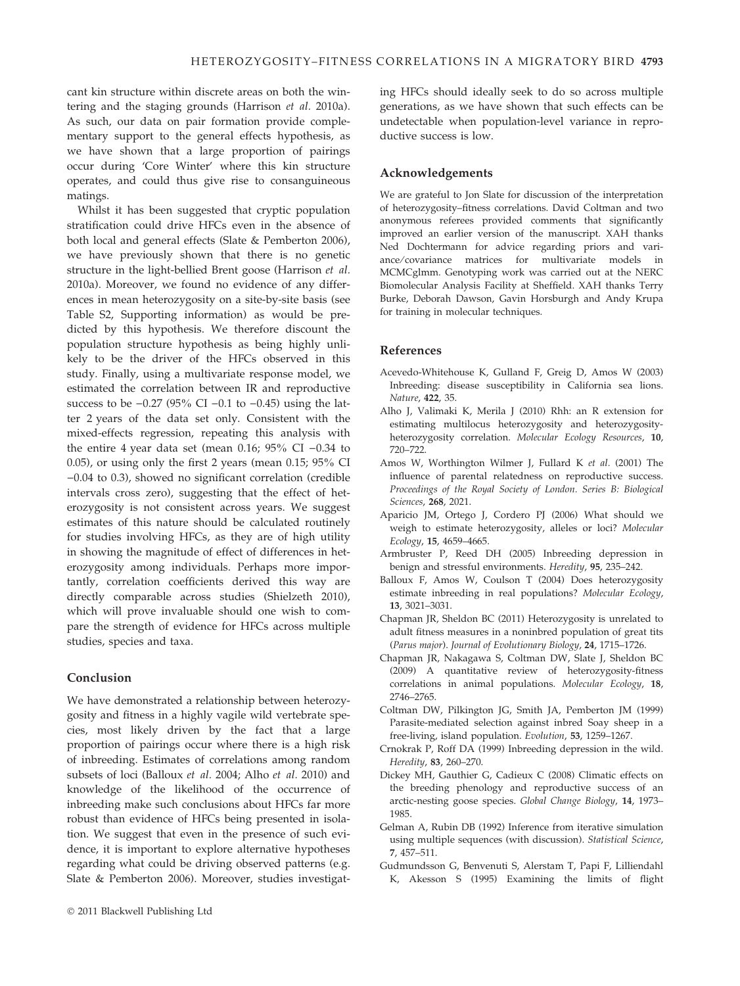cant kin structure within discrete areas on both the wintering and the staging grounds (Harrison et al. 2010a). As such, our data on pair formation provide complementary support to the general effects hypothesis, as we have shown that a large proportion of pairings occur during 'Core Winter' where this kin structure operates, and could thus give rise to consanguineous matings.

Whilst it has been suggested that cryptic population stratification could drive HFCs even in the absence of both local and general effects (Slate & Pemberton 2006), we have previously shown that there is no genetic structure in the light-bellied Brent goose (Harrison et al. 2010a). Moreover, we found no evidence of any differences in mean heterozygosity on a site-by-site basis (see Table S2, Supporting information) as would be predicted by this hypothesis. We therefore discount the population structure hypothesis as being highly unlikely to be the driver of the HFCs observed in this study. Finally, using a multivariate response model, we estimated the correlation between IR and reproductive success to be  $-0.27$  (95% CI  $-0.1$  to  $-0.45$ ) using the latter 2 years of the data set only. Consistent with the mixed-effects regression, repeating this analysis with the entire 4 year data set (mean 0.16;  $95\%$  CI -0.34 to 0.05), or using only the first 2 years (mean 0.15; 95% CI  $-0.04$  to 0.3), showed no significant correlation (credible intervals cross zero), suggesting that the effect of heterozygosity is not consistent across years. We suggest estimates of this nature should be calculated routinely for studies involving HFCs, as they are of high utility in showing the magnitude of effect of differences in heterozygosity among individuals. Perhaps more importantly, correlation coefficients derived this way are directly comparable across studies (Shielzeth 2010), which will prove invaluable should one wish to compare the strength of evidence for HFCs across multiple studies, species and taxa.

## Conclusion

We have demonstrated a relationship between heterozygosity and fitness in a highly vagile wild vertebrate species, most likely driven by the fact that a large proportion of pairings occur where there is a high risk of inbreeding. Estimates of correlations among random subsets of loci (Balloux et al. 2004; Alho et al. 2010) and knowledge of the likelihood of the occurrence of inbreeding make such conclusions about HFCs far more robust than evidence of HFCs being presented in isolation. We suggest that even in the presence of such evidence, it is important to explore alternative hypotheses regarding what could be driving observed patterns (e.g. Slate & Pemberton 2006). Moreover, studies investigating HFCs should ideally seek to do so across multiple generations, as we have shown that such effects can be undetectable when population-level variance in reproductive success is low.

#### Acknowledgements

We are grateful to Jon Slate for discussion of the interpretation of heterozygosity–fitness correlations. David Coltman and two anonymous referees provided comments that significantly improved an earlier version of the manuscript. XAH thanks Ned Dochtermann for advice regarding priors and variance/covariance matrices for multivariate models in MCMCglmm. Genotyping work was carried out at the NERC Biomolecular Analysis Facility at Sheffield. XAH thanks Terry Burke, Deborah Dawson, Gavin Horsburgh and Andy Krupa for training in molecular techniques.

#### References

- Acevedo-Whitehouse K, Gulland F, Greig D, Amos W (2003) Inbreeding: disease susceptibility in California sea lions. Nature, 422, 35.
- Alho J, Valimaki K, Merila J (2010) Rhh: an R extension for estimating multilocus heterozygosity and heterozygosityheterozygosity correlation. Molecular Ecology Resources, 10, 720–722.
- Amos W, Worthington Wilmer J, Fullard K et al. (2001) The influence of parental relatedness on reproductive success. Proceedings of the Royal Society of London. Series B: Biological Sciences, 268, 2021.
- Aparicio JM, Ortego J, Cordero PJ (2006) What should we weigh to estimate heterozygosity, alleles or loci? Molecular Ecology, 15, 4659–4665.
- Armbruster P, Reed DH (2005) Inbreeding depression in benign and stressful environments. Heredity, 95, 235–242.
- Balloux F, Amos W, Coulson T (2004) Does heterozygosity estimate inbreeding in real populations? Molecular Ecology, 13, 3021–3031.
- Chapman JR, Sheldon BC (2011) Heterozygosity is unrelated to adult fitness measures in a noninbred population of great tits (Parus major). Journal of Evolutionary Biology, 24, 1715–1726.
- Chapman JR, Nakagawa S, Coltman DW, Slate J, Sheldon BC (2009) A quantitative review of heterozygosity-fitness correlations in animal populations. Molecular Ecology, 18, 2746–2765.
- Coltman DW, Pilkington JG, Smith JA, Pemberton JM (1999) Parasite-mediated selection against inbred Soay sheep in a free-living, island population. Evolution, 53, 1259–1267.
- Crnokrak P, Roff DA (1999) Inbreeding depression in the wild. Heredity, 83, 260–270.
- Dickey MH, Gauthier G, Cadieux C (2008) Climatic effects on the breeding phenology and reproductive success of an arctic-nesting goose species. Global Change Biology, 14, 1973– 1985.
- Gelman A, Rubin DB (1992) Inference from iterative simulation using multiple sequences (with discussion). Statistical Science, 7, 457–511.
- Gudmundsson G, Benvenuti S, Alerstam T, Papi F, Lilliendahl K, Akesson S (1995) Examining the limits of flight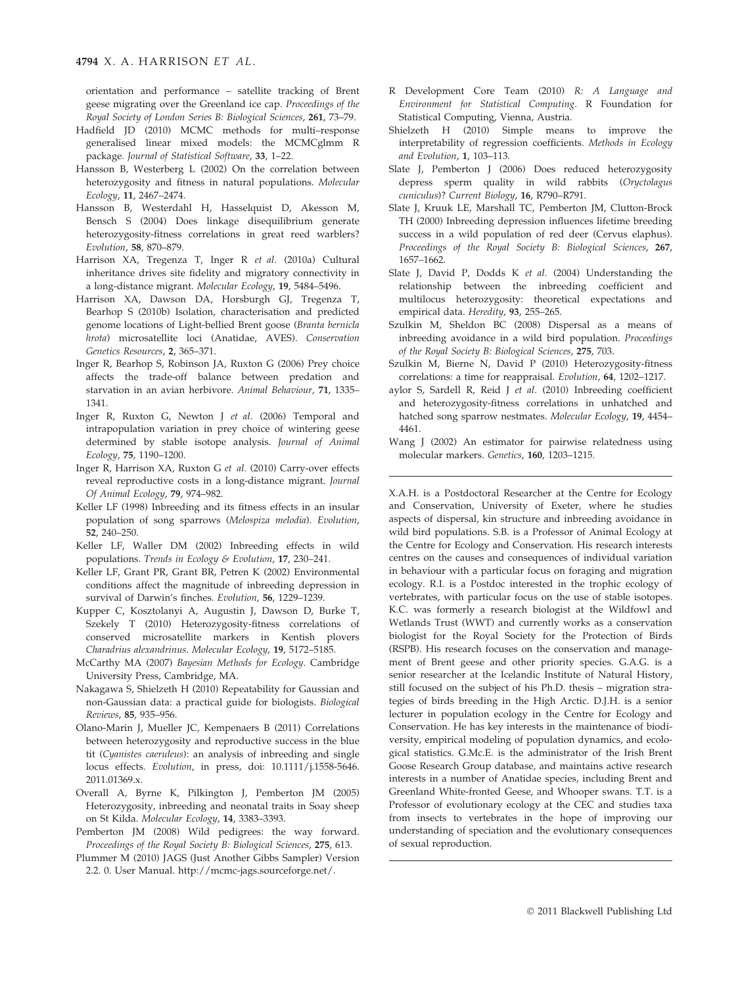orientation and performance – satellite tracking of Brent geese migrating over the Greenland ice cap. Proceedings of the Royal Society of London Series B: Biological Sciences, 261, 73–79.

- Hadfield JD (2010) MCMC methods for multi–response generalised linear mixed models: the MCMCglmm R package. Journal of Statistical Software, 33, 1–22.
- Hansson B, Westerberg L (2002) On the correlation between heterozygosity and fitness in natural populations. Molecular Ecology, 11, 2467–2474.
- Hansson B, Westerdahl H, Hasselquist D, Akesson M, Bensch S (2004) Does linkage disequilibrium generate heterozygosity-fitness correlations in great reed warblers? Evolution, 58, 870–879.
- Harrison XA, Tregenza T, Inger R et al. (2010a) Cultural inheritance drives site fidelity and migratory connectivity in a long-distance migrant. Molecular Ecology, 19, 5484–5496.
- Harrison XA, Dawson DA, Horsburgh GJ, Tregenza T, Bearhop S (2010b) Isolation, characterisation and predicted genome locations of Light-bellied Brent goose (Branta bernicla hrota) microsatellite loci (Anatidae, AVES). Conservation Genetics Resources, 2, 365–371.
- Inger R, Bearhop S, Robinson JA, Ruxton G (2006) Prey choice affects the trade-off balance between predation and starvation in an avian herbivore. Animal Behaviour, 71, 1335– 1341.
- Inger R, Ruxton G, Newton J et al. (2006) Temporal and intrapopulation variation in prey choice of wintering geese determined by stable isotope analysis. Journal of Animal Ecology, 75, 1190–1200.
- Inger R, Harrison XA, Ruxton G et al. (2010) Carry-over effects reveal reproductive costs in a long-distance migrant. Journal Of Animal Ecology, 79, 974–982.
- Keller LF (1998) Inbreeding and its fitness effects in an insular population of song sparrows (Melospiza melodia). Evolution, 52, 240–250.
- Keller LF, Waller DM (2002) Inbreeding effects in wild populations. Trends in Ecology & Evolution, 17, 230–241.
- Keller LF, Grant PR, Grant BR, Petren K (2002) Environmental conditions affect the magnitude of inbreeding depression in survival of Darwin's finches. Evolution, 56, 1229–1239.
- Kupper C, Kosztolanyi A, Augustin J, Dawson D, Burke T, Szekely T (2010) Heterozygosity-fitness correlations of conserved microsatellite markers in Kentish plovers Charadrius alexandrinus. Molecular Ecology, 19, 5172–5185.
- McCarthy MA (2007) Bayesian Methods for Ecology. Cambridge University Press, Cambridge, MA.
- Nakagawa S, Shielzeth H (2010) Repeatability for Gaussian and non-Gaussian data: a practical guide for biologists. Biological Reviews, 85, 935–956.
- Olano-Marin J, Mueller JC, Kempenaers B (2011) Correlations between heterozygosity and reproductive success in the blue tit (Cyanistes caeruleus): an analysis of inbreeding and single locus effects. Evolution, in press, doi: 10.1111/j.1558-5646. 2011.01369.x.
- Overall A, Byrne K, Pilkington J, Pemberton JM (2005) Heterozygosity, inbreeding and neonatal traits in Soay sheep on St Kilda. Molecular Ecology, 14, 3383–3393.
- Pemberton JM (2008) Wild pedigrees: the way forward. Proceedings of the Royal Society B: Biological Sciences, 275, 613.
- Plummer M (2010) JAGS (Just Another Gibbs Sampler) Version 2.2. 0. User Manual. http://mcmc-jags.sourceforge.net/.
- R Development Core Team (2010) R: A Language and Environment for Statistical Computing. R Foundation for Statistical Computing, Vienna, Austria.
- Shielzeth H (2010) Simple means to improve the interpretability of regression coefficients. Methods in Ecology and Evolution, 1, 103–113.
- Slate J, Pemberton J (2006) Does reduced heterozygosity depress sperm quality in wild rabbits (Oryctolagus cuniculus)? Current Biology, 16, R790–R791.
- Slate J, Kruuk LE, Marshall TC, Pemberton JM, Clutton-Brock TH (2000) Inbreeding depression influences lifetime breeding success in a wild population of red deer (Cervus elaphus). Proceedings of the Royal Society B: Biological Sciences, 267, 1657–1662.
- Slate J, David P, Dodds K et al. (2004) Understanding the relationship between the inbreeding coefficient and multilocus heterozygosity: theoretical expectations and empirical data. Heredity, 93, 255–265.
- Szulkin M, Sheldon BC (2008) Dispersal as a means of inbreeding avoidance in a wild bird population. Proceedings of the Royal Society B: Biological Sciences, 275, 703.
- Szulkin M, Bierne N, David P (2010) Heterozygosity-fitness correlations: a time for reappraisal. Evolution, 64, 1202–1217.
- aylor S, Sardell R, Reid J et al. (2010) Inbreeding coefficient and heterozygosity-fitness correlations in unhatched and hatched song sparrow nestmates. Molecular Ecology, 19, 4454– 4461.
- Wang J (2002) An estimator for pairwise relatedness using molecular markers. Genetics, 160, 1203–1215.

X.A.H. is a Postdoctoral Researcher at the Centre for Ecology and Conservation, University of Exeter, where he studies aspects of dispersal, kin structure and inbreeding avoidance in wild bird populations. S.B. is a Professor of Animal Ecology at the Centre for Ecology and Conservation. His research interests centres on the causes and consequences of individual variation in behaviour with a particular focus on foraging and migration ecology. R.I. is a Postdoc interested in the trophic ecology of vertebrates, with particular focus on the use of stable isotopes. K.C. was formerly a research biologist at the Wildfowl and Wetlands Trust (WWT) and currently works as a conservation biologist for the Royal Society for the Protection of Birds (RSPB). His research focuses on the conservation and management of Brent geese and other priority species. G.A.G. is a senior researcher at the Icelandic Institute of Natural History, still focused on the subject of his Ph.D. thesis – migration strategies of birds breeding in the High Arctic. D.J.H. is a senior lecturer in population ecology in the Centre for Ecology and Conservation. He has key interests in the maintenance of biodiversity, empirical modeling of population dynamics, and ecological statistics. G.Mc.E. is the administrator of the Irish Brent Goose Research Group database, and maintains active research interests in a number of Anatidae species, including Brent and Greenland White-fronted Geese, and Whooper swans. T.T. is a Professor of evolutionary ecology at the CEC and studies taxa from insects to vertebrates in the hope of improving our understanding of speciation and the evolutionary consequences of sexual reproduction.